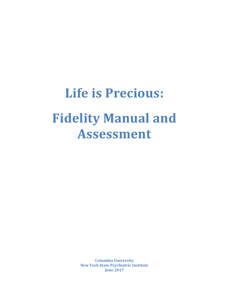# **Life is Precious: Fidelity Manual and Assessment**

**Columbia University New York State Psychiatric Institute June 2017**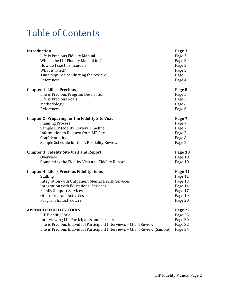# Table of Contents

| Introduction                                                               | Page 3  |
|----------------------------------------------------------------------------|---------|
| Life is Precious Fidelity Manual                                           | Page 3  |
| Who is the LIP Fidelity Manual for?                                        | Page 3  |
| How do I use this manual?                                                  | Page 3  |
| What is rated?                                                             | Page 3  |
| Time required conducting the review                                        | Page 3  |
| References                                                                 | Page 4  |
| <b>Chapter 1: Life is Precious</b>                                         | Page 5  |
| Life is Precious Program Description                                       | Page 5  |
| Life is Precious Goals                                                     | Page 5  |
| Methodology                                                                | Page 6  |
| References                                                                 | Page 6  |
| <b>Chapter 2: Preparing for the Fidelity Site Visit</b>                    | Page 7  |
| <b>Planning Process</b>                                                    | Page 7  |
| Sample LIP Fidelity Review Timeline                                        | Page 7  |
| Information to Request from LIP Site                                       | Page 7  |
| Confidentiality                                                            | Page 8  |
| Sample Schedule for the LIP Fidelity Review                                | Page 8  |
| <b>Chapter 3: Fidelity Site Visit and Report</b>                           | Page 10 |
| Overview                                                                   | Page 10 |
| Completing the Fidelity Visit and Fidelity Report                          | Page 10 |
| <b>Chapter 4: Life is Precious Fidelity Items</b>                          | Page 11 |
| <b>Staffing</b>                                                            | Page 11 |
| Integration with Outpatient Mental Health Services                         | Page 13 |
| <b>Integration with Educational Services</b>                               | Page 14 |
| <b>Family Support Services</b>                                             | Page 17 |
| <b>Other Program Activities</b>                                            | Page 19 |
| Program Infrastructure                                                     | Page 20 |
| <b>APPENDIX: FIDELITY TOOLS</b>                                            | Page 22 |
| <b>LIP Fidelity Scale</b>                                                  | Page 23 |
| Interviewing LIP Participants and Parents                                  | Page 30 |
| Life is Precious Individual Participant Interviews - Chart Review          | Page 32 |
| Life is Precious Individual Participant Interviews - Chart Review (Sample) | Page 34 |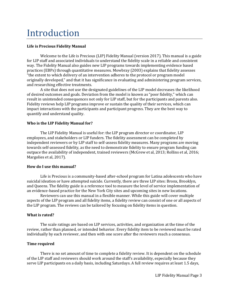# Introduction

#### **Life is Precious Fidelity Manual**

Welcome to the Life is Precious (LIP) Fidelity Manual (version 2017). This manual is a guide for LIP staff and associated individuals to understand the fidelity scale in a reliable and consistent way. The Fidelity Manual also guides new LIP programs towards implementing evidence based practices (EBPs) through quantitative measures. Mowbray (2003) explains that fidelity assesses "the extent to which delivery of an intervention adheres to the protocol or program model originally developed," and that it has significance in evaluating and administering program services, and researching effective treatments.

A site that does not use the designated guidelines of the LIP model decreases the likelihood of desired outcomes and goals. Deviation from the model is known as "poor fidelity," which can result in unintended consequences not only for LIP staff, but for the participants and parents also. Fidelity reviews help LIP programs improve or sustain the quality of their services, which can impact interactions with the participants and participant progress. They are the best way to quantify and understand quality.

#### **Who is the LIP Fidelity Manual for?**

The LIP Fidelity Manual is useful for: the LIP program director or coordinator, LIP employees, and stakeholders or LIP funders. The fidelity assessment can be completed by independent reviewers or by LIP staff to self-assess fidelity measures. Many programs are moving towards self-assessed fidelity, as the need to demonstrate fidelity to ensure program funding can outpace the availability of independent, trained reviewers (McGrew et al, 2013; Rollins et al, 2016; Margolies et al, 2017).

#### **How do I use this manual?**

Life is Precious is a community-based after-school program for Latina adolescents who have suicidal ideation or have attempted suicide. Currently, there are three LIP sites: Bronx, Brooklyn, and Queens. The fidelity guide is a reference tool to measure the level of service implementation of an evidence-based practice for the New York City sites and upcoming sites in new locations.

Reviewers can use this manual in a flexible manner. While this guide will cover multiple aspects of the LIP program and all fidelity items, a fidelity review can consist of one or all aspects of the LIP program. The reviews can be tailored by focusing on fidelity items in question.

#### **What is rated?**

The scale ratings are based on LIP services, activities, and organization at the time of the review, rather than planned, or intended behavior. Every fidelity item to be reviewed must be rated individually by each reviewer, and then with one score after the reviewers reach a consensus.

#### **Time required**

There is no set amount of time to complete a fidelity review. It is dependent on the schedule of the LIP staff and reviewers should work around the staff's availability, especially because they serve LIP participants on a daily basis, including Saturdays. A full review requires at least 1.5 days,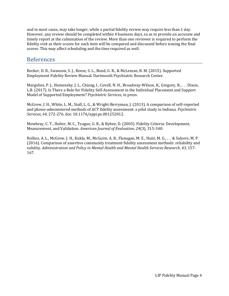and in most cases, may take longer, while a partial fidelity review may require less than 1 day. However, any review should be completed within 4 business days, so as to provide an accurate and timely report at the culmination of the review. More than one reviewer is required to perform the fidelity visit as their scores for each item will be compared and discussed before issuing the final scores. This may affect scheduling and the time required as well.

### References

Becker, D. R., Swanson, S. J., Reese, S. L., Bond, G. R., & McLeman, B. M. (2015). Supported Employment Fidelity Review Manual. Dartmouth Psychiatric Research Center.

Margolies, P. J., Humensky, J. L., Chiang, I., Covell, N. H., Broadway-Wilson, K., Gregory, R., . . . Dixon, L.B. (2017). Is There a Role for Fidelity Self-Assessment in the Individual Placement and Support Model of Supported Employment? *Psychiatric Services*, in press.

McGrew, J. H., White, L. M., Stull, L. G., & Wright-Berryman, J. (2013). A comparison of self-reported and phone-administered methods of ACT fidelity assessment: a pilot study in Indiana. *Psychiatric Services, 64,* 272-276. doi: 10.1176/appi.ps.001252012.

Mowbray, C. T., Holter, M. C., Teague, G. B., & Bybee, D. (2003). Fidelity Criteria: Development, Measurement, and Validation. *American Journal of Evaluation*, *24*(3), 315-340.

Rollins, A. L., McGrew, J. H., Kukla, M., McGuire, A. B., Flanagan, M. E., Hunt, M. G., . . . & Salyers, M. P. (2016). Comparison of assertive community treatment fidelity assessment methods: reliability and validity. *Administration and Policy in Mental Health and Mental Health Services Research*, *43*, 157- 167.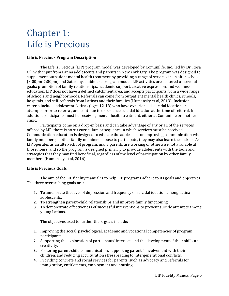# Chapter 1: Life is Precious

#### **Life is Precious Program Description**

The Life is Precious (LIP) program model was developed by Comunilife, Inc., led by Dr. Rosa Gil, with input from Latina adolescents and parents in New York City. The program was designed to supplement outpatient mental health treatment by providing a range of services in an after-school (3:00pm-7:00pm) and Saturday, clubhouse program model. LIP activities are centered on several goals: promotion of family relationships, academic support, creative expression, and wellness education. LIP does not have a defined catchment area, and accepts participants from a wide range of schools and neighborhoods. Referrals can come from outpatient mental health clinics, schools, hospitals, and self-referrals from Latinas and their families (Humensky et al, 2013). Inclusion criteria include: adolescent Latinas (ages 12-18) who have experienced suicidal ideation or attempts prior to referral, and continue to experience suicidal ideation at the time of referral. In addition, participants must be receiving mental health treatment, either at Comunilife or another clinic.

Participants come on a drop-in basis and can take advantage of any or all of the services offered by LIP; there is no set curriculum or sequence in which services must be received. Communication education is designed to educate the adolescent on improving communication with family members; if other family members choose to participate, they may also learn these skills. As LIP operates as an after-school program, many parents are working or otherwise not available at those hours, and so the program is designed primarily to provide adolescents with the tools and strategies that they may find beneficial, regardless of the level of participation by other family members (Humensky et al, 2016).

#### **Life is Precious Goals**

The aim of the LIP fidelity manual is to help LIP programs adhere to its goals and objectives. The three overarching goals are:

- 1. To ameliorate the level of depression and frequency of suicidal ideation among Latina adolescents.
- 2. To strengthen parent-child relationships and improve family functioning.
- 3. To demonstrate effectiveness of successful interventions to prevent suicide attempts among young Latinas.

The objectives used to further these goals include:

- 1. Improving the social, psychological, academic and vocational competencies of program participants.
- 2. Supporting the exploration of participants' interests and the development of their skills and creativity.
- 3. Fostering parent-child communication, supporting parents' involvement with their children, and reducing acculturation stress leading to intergenerational conflicts.
- 4. Providing concrete and social services for parents, such as advocacy and referrals for immigration, entitlements, employment and housing.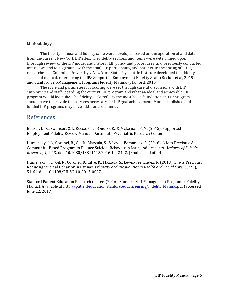#### **Methodology**

The fidelity manual and fidelity scale were developed based on the operation of and data from the current New York LIP sites. The fidelity sections and items were determined upon thorough review of the LIP model and history, LIP policy and procedures, and previously conducted interviews and focus groups with the staff, LIP participants, and parents. In the spring of 2017, researchers at Columbia University / New York State Psychiatric Institute developed the fidelity scale and manual, referencing the IPS Supported Employment Fidelity Scale (Becker et al, 2015) and Stanford Self-Management Programs Fidelity Manual (Stanford, 2016).

The scale and parameters for scoring were set through careful discussions with LIP employees and staff regarding the current LIP program and what an ideal and achievable LIP program would look like. The fidelity scale reflects the most basic foundation an LIP program should have to provide the services necessary for LIP goal achievement. More established and funded LIP programs may have additional elements.

### References

Becker, D. R., Swanson, S. J., Reese, S. L., Bond, G. R., & McLeman, B. M. (2015). Supported Employment Fidelity Review Manual. Dartmouth Psychiatric Research Center.

Humensky, J. L., Coronel, B., Gil, R., Mazzula, S., & Lewis-Fernández, R. (2016). Life is Precious: A Community-Based Program to Reduce Suicidal Behavior in Latina Adolescents. *Archives of Suicide Research*, *4,* 1-13. doi: 10.1080/13811118.2016.1242442. [Epub ahead of print]

Humensky, J. L., Gil, R., Coronel, B., Cifre, R., Mazzula, S., Lewis-Fernández, R. (2013). Life is Precious: Reducing Suicidal Behavior in Latinas. *Ethnicity and Inequalities in Health and Social Care*, *6*(2/3), 54-61. doi: 10.1108/EIHSC-10-2013-0027.

Stanford Patient Education Research Center. (2016). Stanford Self-Management Programs: Fidelity Manual. Available at [http://patienteducation.stanford.edu/licensing/Fidelity\\_Manual.pdf](http://patienteducation.stanford.edu/licensing/Fidelity_Manual.pdf) (accessed June 12, 2017).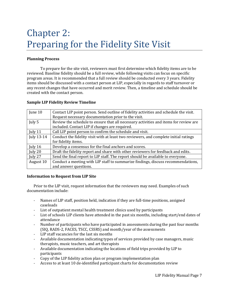# Chapter 2: Preparing for the Fidelity Site Visit

#### **Planning Process**

To prepare for the site visit, reviewers must first determine which fidelity items are to be reviewed. Baseline fidelity should be a full review, while following visits can focus on specific program areas. It is recommended that a full review should be conducted every 3 years. Fidelity items should be discussed with a contact person at LIP, especially in regards to staff turnover or any recent changes that have occurred and merit review. Then, a timeline and schedule should be created with the contact person.

#### **Sample LIP Fidelity Review Timeline**

| June 10    | Contact LIP point person. Send outline of fidelity activities and schedule the visit. |  |  |
|------------|---------------------------------------------------------------------------------------|--|--|
|            | Request necessary documentation prior to the visit.                                   |  |  |
| July 5     | Review the schedule to ensure that all necessary activities and items for review are  |  |  |
|            | included. Contact LIP if changes are required.                                        |  |  |
| July 11    | Call LIP point person to confirm the schedule and visit.                              |  |  |
| July 13-14 | Conduct the fidelity visit with at least two reviewers, and complete initial ratings  |  |  |
|            | for fidelity items.                                                                   |  |  |
| July 16    | Develop a consensus for the final anchors and scores.                                 |  |  |
| July 20    | Draft the fidelity report and share with other reviewers for feedback and edits.      |  |  |
| July 27    | Send the final report to LIP staff. The report should be available to everyone.       |  |  |
| August 10  | Conduct a meeting with LIP staff to summarize findings, discuss recommendations,      |  |  |
|            | and answer questions.                                                                 |  |  |

#### **Information to Request from LIP Site**

Prior to the LIP visit, request information that the reviewers may need. Examples of such documentation include:

- Names of LIP staff, position held, indication if they are full-time positions, assigned caseloads
- List of outpatient mental health treatment clinics used by participants
- List of schools LIP clients have attended in the past six months, including start/end dates of attendance
- Number of participants who have participated in assessments during the past four months (SIQ, RADS-2, FACES, TSCC, CSSRS) and month/year of the assessments
- LIP staff vacancies for the last six months
- Available documentation indicating types of services provided by case managers, music therapists, music teachers, and art therapists
- Available documentation indicating the locations of field trips provided by LIP to participants
- Copy of the LIP fidelity action plan or program implementation plan
- Access to at least 10 de-identified participant charts for documentation review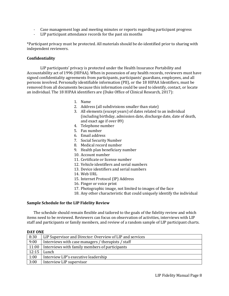- Case management logs and meeting minutes or reports regarding participant progress
- LIP participant attendance records for the past six months

\*Participant privacy must be protected. All materials should be de-identified prior to sharing with independent reviewers.

#### **Confidentiality**

LIP participants' privacy is protected under the Health Insurance Portability and Accountability act of 1996 (HIPAA). When in possession of any health records, reviewers must have signed confidentiality agreements from participants, participants' guardians, employees, and all persons involved. Personally identifiable information (PII), or the 18 HIPAA Identifiers, must be removed from all documents because this information could be used to identify, contact, or locate an individual. The 18 HIPAA identifiers are (Duke Office of Clinical Research, 2017):

- 1. Name
- 2. Address (all subdivisions smaller than state)
- 3. All elements (except years) of dates related to an individual (including birthday, admission date, discharge date, date of death, and exact age if over 89)
- 4. Telephone number
- 5. Fax number
- 6. Email address
- 7. Social Security Number
- 8. Medical record number
- 9. Health plan beneficiary number
- 10. Account number
- 11. Certificate or license number
- 12. Vehicle identifiers and serial numbers
- 13. Device identifiers and serial numbers
- 14. Web URL
- 15. Internet Protocol (IP) Address
- 16. Finger or voice print
- 17. Photographic image, not limited to images of the face
- 18. Any other characteristic that could uniquely identify the individual

#### **Sample Schedule for the LIP Fidelity Review**

The schedule should remain flexible and tailored to the goals of the fidelity review and which items need to be reviewed. Reviewers can focus on observation of activities, interviews with LIP staff and participants or family members, and review of a random sample of LIP participant charts.

#### **DAY ONE**

| 8:30  | LIP Supervisor and Director: Overview of LIP and services |
|-------|-----------------------------------------------------------|
| 9:00  | Interviews with case managers / therapists / staff        |
| 11:00 | Interviews with family members of participants            |
| 12:15 | Lunch                                                     |
| 1:00  | Interview LIP's executive leadership                      |
| 3:00  | Interview LIP supervisor                                  |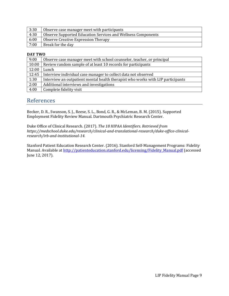| 3:30 | Observe case manager meet with participants                  |
|------|--------------------------------------------------------------|
| 4:30 | Observe Supported Education Services and Wellness Components |
| 6:00 | Observe Creative Expression Therapy                          |
| 7:00 | Break for the day                                            |

#### **DAY TWO**

| 9:00  | Observe case manager meet with school counselor, teacher, or principal          |
|-------|---------------------------------------------------------------------------------|
| 10:00 | Review random sample of at least 10 records for participants                    |
| 12:00 | Lunch                                                                           |
| 12:45 | Interview individual case manager to collect data not observed                  |
| 1:30  | Interview an outpatient mental health therapist who works with LIP participants |
| 2:00  | Additional interviews and investigations                                        |
| 4:00  | Complete fidelity visit                                                         |

### References

Becker, D. R., Swanson, S. J., Reese, S. L., Bond, G. R., & McLeman, B. M. (2015). Supported Employment Fidelity Review Manual. Dartmouth Psychiatric Research Center.

Duke Office of Clinical Research. (2017). *The 18 HIPAA Identifiers. Retrieved from https://medschool.duke.edu/research/clinical-and-translational-research/duke-office-clinicalresearch/irb-and-institutional-14.*

Stanford Patient Education Research Center. (2016). Stanford Self-Management Programs: Fidelity Manual. Available at [http://patienteducation.stanford.edu/licensing/Fidelity\\_Manual.pdf](http://patienteducation.stanford.edu/licensing/Fidelity_Manual.pdf) (accessed June 12, 2017).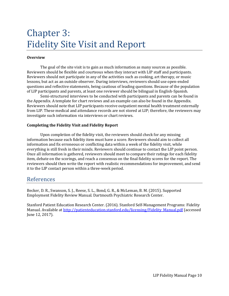# Chapter 3: Fidelity Site Visit and Report

#### **Overview**

The goal of the site visit is to gain as much information as many sources as possible. Reviewers should be flexible and courteous when they interact with LIP staff and participants. Reviewers should not participate in any of the activities such as cooking, art therapy, or music lessons, but act as an outside observer. During interviews, reviewers should use open-ended questions and reflective statements, being cautious of leading questions. Because of the population of LIP participants and parents, at least one reviewer should be bilingual in English-Spanish.

Semi-structured interviews to be conducted with participants and parents can be found in the Appendix. A template for chart reviews and an example can also be found in the Appendix. Reviewers should note that LIP participants receive outpatient mental health treatment externally from LIP. These medical and attendance records are not stored at LIP; therefore, the reviewers may investigate such information via interviews or chart reviews.

#### **Completing the Fidelity Visit and Fidelity Report**

Upon completion of the fidelity visit, the reviewers should check for any missing information because each fidelity item must have a score. Reviewers should aim to collect all information and fix erroneous or conflicting data within a week of the fidelity visit, while everything is still fresh in their minds. Reviewers should continue to contact the LIP point person. Once all information is gathered, reviewers should meet to compare their ratings for each fidelity item, debate on the scorings, and reach a consensus on the final fidelity scores for the report. The reviewers should then write the report with realistic recommendations for improvement, and send it to the LIP contact person within a three-week period.

### References

Becker, D. R., Swanson, S. J., Reese, S. L., Bond, G. R., & McLeman, B. M. (2015). Supported Employment Fidelity Review Manual. Dartmouth Psychiatric Research Center.

Stanford Patient Education Research Center. (2016). Stanford Self-Management Programs: Fidelity Manual. Available at [http://patienteducation.stanford.edu/licensing/Fidelity\\_Manual.pdf](http://patienteducation.stanford.edu/licensing/Fidelity_Manual.pdf) (accessed June 12, 2017).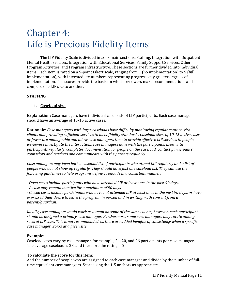# Chapter 4: Life is Precious Fidelity Items

The LIP Fidelity Scale is divided into six main sections: Staffing, Integration with Outpatient Mental Health Services, Integration with Educational Services, Family Support Services, Other Program Activities, and Program Infrastructure. These sections are further divided into individual items. Each item is rated on a 5-point Likert scale, ranging from 1 (no implementation) to 5 (full implementation), with intermediate numbers representing progressively greater degrees of implementation. The scores provide the basis on which reviewers make recommendations and compare one LIP site to another.

#### **STAFFING**

#### **1. Caseload size**

**Explanation:** Case managers have individual caseloads of LIP participants. Each case manager should have an average of 10-15 active cases.

**Rationale:** *Case managers with large caseloads have difficulty monitoring regular contact with clients and providing sufficient services to meet fidelity standards. Caseload sizes of 10-15 active cases or fewer are manageable and allow case managers time to provide effective LIP services to people. Reviewers investigate the interactions case managers have with the participants: meet with participants regularly, completes documentation for people on the caseload, contact participants' counselors and teachers and communicate with the parents regularly.* 

*Case managers may keep both a caseload list of participants who attend LIP regularly and a list of people who do not show up regularly. They should have just one caseload list. They can use the following guidelines to help programs define caseloads in a consistent manner:*

*- Open cases include participants who have attended LIP at least once in the past 90 days.* 

*- A case may remain inactive for a maximum of 90 days.* 

*- Closed cases include participants who have not attended LIP at least once in the past 90 days, or have expressed their desire to leave the program in person and in writing, with consent from a parent/guardian.* 

*Ideally, case managers would work as a team on some of the same clients; however, each participant should be assigned a primary case manager. Furthermore, some case managers may rotate among several LIP sites. This is not recommended, as there are added benefits of consistency when a specific case manager works at a given site.* 

#### **Example:**

Caseload sizes vary by case manager, for example, 24, 20, and 26 participants per case manager. The average caseload is 23, and therefore the rating is 2.

#### **To calculate the score for this item:**

Add the number of people who are assigned to each case manager and divide by the number of fulltime equivalent case managers. Score using the 1-5 anchors as appropriate.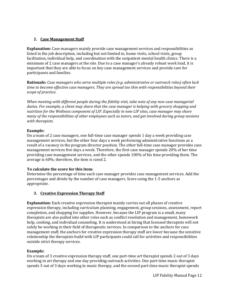#### **2. Case Management Staff**

**Explanation:** Case managers mainly provide case management services and responsibilities as listed in the job description, including but not limited to, home visits, school visits, group facilitation, individual help, and coordination with the outpatient mental health clinics. There is a minimum of 2 case managers at the site. Due to a case manager's already robust work load, it is important that they are able to focus on key case management services and provide care for participants and families.

**Rationale:** *Case managers who serve multiple roles (e.g. administrative or outreach roles) often lack time to become effective case managers. They are spread too thin with responsibilities beyond their scope of practice.* 

*When meeting with different people during the fidelity visit, take note of any non-case managerial duties. For example, a client may share that the case manager is helping with grocery shopping and nutrition for the Wellness component of LIP. Especially in new LIP sites, case manager may share many of the responsibilities of other employees such as tutors, and get involved during group sessions with therapists.* 

#### **Example:**

On a team of 2 case managers, one full-time case manager spends 1 day a week providing case management services, but the other four days a week performing administrative functions as a result of a vacancy in the program director position. The other full-time case manager provides case management services five days a week. Therefore, the first case manager spends 20% of her time providing case management services, and the other spends 100% of his time providing them. The average is 60%; therefore, the item is rated 2.

#### **To calculate the score for this item:**

Determine the percentage of time each case manager provides case management services. Add the percentages and divide by the number of case managers. Score using the 1-5 anchors as appropriate.

#### **3. Creative Expression Therapy Staff**

**Explanation:** Each creative expression therapist mainly carries out all phases of creative expression therapy, including curriculum planning, engagement, group sessions, assessment, report completion, and shopping for supplies. However, because the LIP program is a small, many therapists are also pulled into other roles such as conflict resolution and management, homework help, cooking, and individual counseling. It is understood at hiring that licensed therapists will not solely be working in their field of therapeutic services. In comparison to the anchors for case management staff, the anchors for creative expression therapy staff are lower because the sensitive relationship the therapists build with LIP participants could call for activities and responsibilities outside strict therapy services.

#### **Example:**

On a team of 3 creative expression therapy staff, one part-time art therapist spends 2 out of 3 days working in art therapy and one day providing outreach activities. One part-time music therapist spends 3 out of 3 days working in music therapy, and the second part-time music therapist spends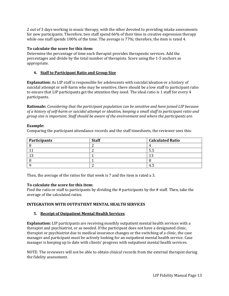2 out of 3 days working in music therapy, with the other devoted to providing intake assessments for new participants. Therefore, two staff spend 66% of their time in creative expression therapy while one staff spends 100% of the time. The average is 77%; therefore, the item is rated 4.

#### **To calculate the score for this item:**

Determine the percentage of time each therapist provides therapeutic services. Add the percentages and divide by the total number of therapists. Score using the 1-5 anchors as appropriate.

#### **4. Staff to Participant Ratio and Group Size**

**Explanation:** As LIP staff is responsible for adolescents with suicidal ideation or a history of suicidal attempt or self-harm who may be sensitive, there should be a low staff to participant ratio to ensure that LIP participants get the attention they need. The ideal ratio is 1 staff for every 4 participants.

**Rationale:** *Considering that the participant population can be sensitive and have joined LIP because of a history of self-harm or suicidal attempt or ideation, keeping a small staff to participant ratio and group size is important. Staff should be aware of the environment and where the participants are.* 

#### **Example:**

Comparing the participant attendance records and the staff timesheets, the reviewer sees this:

| Participants | <b>Staff</b> | <b>Calculated Ratio</b> |
|--------------|--------------|-------------------------|
|              |              |                         |
|              |              | س ر                     |
|              |              | n                       |
|              |              |                         |
|              |              |                         |

Then, the average of the ratios for that week is 7 and the item is rated a 3.

#### **To calculate the score for this item:**

Find the ratio or staff to participants by dividing the # participants by the # staff. Then, take the average of the calculated ratios.

#### **INTEGRATION WITH OUTPATIENT MENTAL HEALTH SERVICES**

#### **5. Receipt of Outpatient Mental Health Services**

**Explanation:** LIP participants are receiving monthly outpatient mental health services with a therapist and psychiatrist, or as needed. If the participant does not have a designated clinic, therapist or psychiatrist due to medical insurance changes or the switching of a clinic, the case manager and participant must be actively looking for an outpatient mental health service. Case manager is keeping up to date with clients' progress with outpatient mental health services.

NOTE: The reviewers will not be able to obtain clinical records from the external therapist during the fidelity assessment.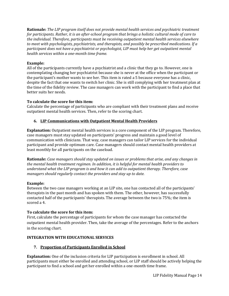**Rationale:** *The LIP program itself does not provide mental health services and psychiatric treatment for participants. Rather, it is an after-school program that brings a holistic cultural mode of care to the individual. Therefore, participants must be receiving outpatient mental health services elsewhere to meet with psychologists, psychiatrists, and therapists, and possibly be prescribed medications. If a participant does not have a psychiatrist or psychologist, LIP must help her get outpatient mental health services within a one-month time frame.* 

#### **Example:**

All of the participants currently have a psychiatrist and a clinic that they go to. However, one is contemplating changing her psychiatrist because she is never at the office when the participant or the participant's mother wants to see her. This item is rated a 5 because everyone has a clinic, despite the fact that one wants to switch her clinic. She is still complying with her treatment plan at the time of the fidelity review. The case managers can work with the participant to find a place that better suits her needs.

#### **To calculate the score for this item:**

Calculate the percentage of participants who are compliant with their treatment plans and receive outpatient mental health services. Then, refer to the scoring chart.

#### **6. LIP Communications with Outpatient Mental Health Providers**

**Explanation:** Outpatient mental health services is a core component of the LIP program. Therefore, case managers must stay updated on participants' progress and maintain a good level of communication with clinicians. That way, case managers can tailor LIP services for the individual participant and provide optimum care. Case managers should contact mental health providers at least monthly for all participants on the caseload.

**Rationale:** *Case managers should stay updated on issues or problems that arise, and any changes in the mental health treatment regimen. In addition, it is helpful for mental health providers to understand what the LIP program is and how it can add to outpatient therapy. Therefore, case managers should regularly contact the providers and stay up to date.*

#### **Example:**

Between the two case managers working at an LIP site, one has contacted all of the participants' therapists in the past month and has spoken with them. The other, however, has successfully contacted half of the participants' therapists. The average between the two is 75%; the item is scored a 4.

#### **To calculate the score for this item:**

First, calculate the percentage of participants for whom the case manager has contacted the outpatient mental health provider. Then, take the average of the percentages. Refer to the anchors in the scoring chart.

#### **INTEGRATION WITH EDUCATIONAL SERVICES**

#### **7. Proportion of Participants Enrolled in School**

**Explanation:** One of the inclusion criteria for LIP participation is enrollment in school. All participants must either be enrolled and attending school, or LIP staff should be actively helping the participant to find a school and get her enrolled within a one-month time frame.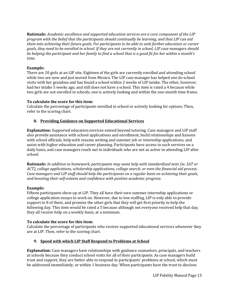**Rationale:** *Academic excellence and supported education services are a core component of the LIP program with the belief that the participants should continually be learning, and that LIP can aid them into achieving their future goals. For participants to be able to seek further education or career goals, they need to be enrolled in school. If they are not currently in school, LIP case managers should be helping the participant and her family to find a school that is a good fit for her within a month's time.* 

#### **Example:**

There are 20 girls at an LIP site. Eighteen of the girls are currently enrolled and attending school while two are new and just moved from Mexico. The LIP case manager has helped one do school visits with her grandma and has found a school within 2 weeks of LIP intake. The other, however, had her intake 5 weeks ago, and still does not have a school. This item is rated a 4 because while two girls are not enrolled in schools, one is actively looking and within the one-month time frame.

#### **To calculate the score for this item:**

Calculate the percentage of participants enrolled in school or actively looking for options. Then, refer to the scoring chart.

#### **8. Providing Guidance on Supported Educational Services**

**Explanation:** Supported education services extend beyond tutoring. Case managers and LIP staff also provide assistance with school applications and enrollment, build relationships and liaisons with school officials, help with resume writing and summer job or internship applications, and assist with higher education and career planning. Participants have access to such services on a daily basis, and case managers reach out to individuals who are not as active in attending LIP after school.

**Rationale:** *In addition to homework, participants may want help with standardized tests (ie. SAT or ACT), college applications, scholarship applications, college search, or even the financial aid process. Case managers and LIP staff should help the participants on a regular basis on achieving their goals, and boosting their self-esteem and confidence with positive academic progress.* 

#### **Example:**

Fifteen participants show up at LIP. They all have their own summer internship applications or college application essays to work on. However, due to low staffing, LIP is only able to provide support to 8 of them, and promise the other girls that they will get first priority in help the following day. This item would be rated a 5 because although not everyone received help that day, they all receive help on a weekly basis, at a minimum.

#### **To calculate the score for this item:**

Calculate the percentage of participants who receive supported educational services whenever they are at LIP. Then, refer to the scoring chart.

#### **9. Speed with which LIP Staff Respond to Problems at School**

**Explanation:** Case managers have relationships with guidance counselors, principals, and teachers at schools because they conduct school visits for all of their participants. As case managers build trust and rapport, they are better able to respond to participants' problems at school, which must be addressed immediately, or within 1 business day. When participants have the trust to disclose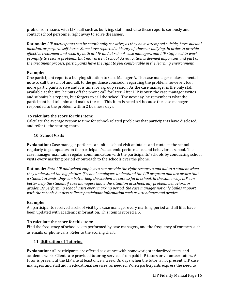problems or issues with LIP staff such as bullying, staff must take these reports seriously and contact school personnel right away to solve the issues.

**Rationale:** *LIP participants can be emotionally sensitive, as they have attempted suicide, have suicidal ideation, or perform self-harm. Some have reported a history of abuse or bullying. In order to provide effective treatment and security both at LIP and at school, case managers and LIP staff need to work promptly to resolve problems that may arise at school. As education is deemed important and part of the treatment process, participants have the right to feel comfortable in the learning environment.* 

#### **Example:**

One participant reports a bullying situation to Case Manager A. The case manager makes a mental note to call the school and talk to the guidance counselor regarding the problem; however, four more participants arrive and it is time for a group session. As the case manager is the only staff available at the site, he puts off the phone call for later. After LIP is over, the case manager writes and submits his reports, but forgets to call the school. The next day, he remembers what the participant had told him and makes the call. This item is rated a 4 because the case manager responded to the problem within 2 business days.

#### **To calculate the score for this item:**

Calculate the average response time for school-related problems that participants have disclosed, and refer to the scoring chart.

#### **10. School Visits**

**Explanation:** Case manager performs an initial school visit at intake, and contacts the school regularly to get updates on the participant's academic performance and behavior at school. The case manager maintains regular communication with the participants' schools by conducting school visits every marking period or outreach to the schools over the phone.

**Rationale:** *Both LIP and school employees can provide the right resources and aid to a student when they understand the big picture. If school employees understand the LIP program and are aware that a student attends, they can better help the student be successful in school. In the same way, LIP can better help the student if case managers know the situation at school, any problem behaviors, or grades. By performing school visits every marking period, the case manager not only builds rapport with the schools but also collects participant information such as attendance and grades.* 

#### **Example:**

All participants received a school visit by a case manager every marking period and all files have been updated with academic information. This item is scored a 5.

#### **To calculate the score for this item:**

Find the frequency of school visits performed by case managers, and the frequency of contacts such as emails or phone calls. Refer to the scoring chart.

#### **11. Utilization of Tutoring**

**Explanation:** All participants are offered assistance with homework, standardized tests, and academic work. Clients are provided tutoring services from paid LIP tutors or volunteer tutors. A tutor is present at the LIP site at least once a week. On days when the tutor is not present, LIP case managers and staff aid in educational services, as needed. When participants express the need to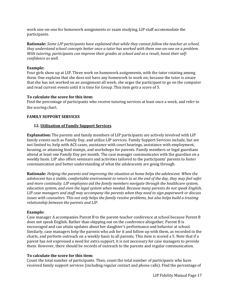work one-on-one for homework assignments or exam studying, LIP staff accommodate the participants.

**Rationale:** *Some LIP participants have explained that while they cannot follow the teacher at school, they understand school concepts better once a tutor has worked with them one-on-one on a problem. With tutoring, participants can improve their grades at school and as a result, boost their selfconfidence as well.* 

#### **Example:**

Four girls show up at LIP. Three work on homework assignments, with the tutor rotating among them. One explains that she does not have any homework to work on; because the tutor is aware that she has not worked on an assignment all week, she urges the participant to go on the computer and read current events until it is time for Group. This item gets a score of 5.

#### **To calculate the score for this item:**

Find the percentage of participants who receive tutoring services at least once a week, and refer to the scoring chart.

#### **FAMILY SUPPORT SERVICES**

#### **12. Utilization of Family Support Services**

**Explanation:** The parents and family members of LIP participants are actively involved with LIP family events such as Family Day, and utilize LIP services. Family Support Services include, but are not limited to, help with ACS cases, assistance with court hearings, assistance with employment, housing, or attaining food stamps, and workshops for parents. Family members or legal guardians attend at least one Family Day per month. The case manager communicates with the guardian on a weekly basis. LIP also offers seminars and activities tailored to the participants' parents to foster communication and better understanding of what the adolescents are going through.

**Rationale:** *Helping the parents and improving the situation at home helps the adolescent. When the adolescent has a stable, comfortable environment to return to at the end of the day, they may feel safer and more continuity. LIP employees aid the family members navigate through the healthcare system, education system, and even the legal system when needed. Because many parents do not speak English, LIP case managers and staff may accompany the parents when they need to sign paperwork or discuss issues with counselors. This not only helps the family resolve problems, but also helps build a trusting relationship between the parents and LIP.*

#### **Example:**

Case manager A accompanies Parent B to the parent-teacher conference at school because Parent B does not speak English. Rather than skipping out on the conference altogether, Parent B is encouraged and can attain updates about her daughter's performance and behavior at school. Similarly, case managers help the parents who ask for it and follow up with them, as recorded in the charts, and perform outreach on a weekly basis to all parents. This item is scored a 5. Note that if a parent has not expressed a need for extra support, it is not necessary for case managers to provide them. However, there should be records of outreach to the parents and regular communication.

#### **To calculate the score for this item:**

Count the total number of participants. Then, count the total number of participants who have received family support services (including regular contact and phone calls). Find the percentage of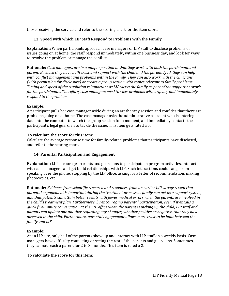those receiving the service and refer to the scoring chart for the item score.

#### **13. Speed with which LIP Staff Respond to Problems with the Family**

**Explanation:** When participants approach case managers or LIP staff to disclose problems or issues going on at home, the staff respond immediately, within one business day, and look for ways to resolve the problem or manage the conflict.

**Rationale:** *Case managers are in a unique position in that they work with both the participant and parent. Because they have built trust and rapport with the child and the parent dyad, they can help with conflict management and problems within the family. They can also work with the clinicians (with permission for disclosure) or create a group session with topics relevant to family problems. Timing and speed of the resolution is important as LIP views the family as part of the support network for the participants. Therefore, case managers need to view problems with urgency and immediately respond to the problem.*

#### **Example:**

A participant pulls her case manager aside during an art therapy session and confides that there are problems going on at home. The case manager asks the administrative assistant who is entering data into the computer to watch the group session for a moment, and immediately contacts the participant's legal guardian to tackle the issue. This item gets rated a 5.

#### **To calculate the score for this item:**

Calculate the average response time for family-related problems that participants have disclosed, and refer to the scoring chart.

#### **14. Parental Participation and Engagement**

**Explanation:** LIP encourages parents and guardians to participate in program activities, interact with case managers, and get build relationships with LIP. Such interactions could range from speaking over the phone, stopping by the LIP office, asking for a letter of recommendation, making photocopies, etc.

**Rationale:** *Evidence from scientific research and responses from an earlier LIP survey reveal that parental engagement is important during the treatment process as family can act as a support system, and that patients can attain better results with fewer medical errors when the parents are involved in the child's treatment plan. Furthermore, by encouraging parental participation, even if it entails a quick five-minute conversation at the LIP office when the parent is picking up the child, LIP staff and parents can update one another regarding any changes, whether positive or negative, that they have observed in the child. Furthermore, parental engagement allows more trust to be built between the family and LIP.* 

#### **Example:**

At an LIP site, only half of the parents show up and interact with LIP staff on a weekly basis. Case managers have difficulty contacting or seeing the rest of the parents and guardians. Sometimes, they cannot reach a parent for 2 to 3 months. This item is rated a 2.

#### **To calculate the score for this item:**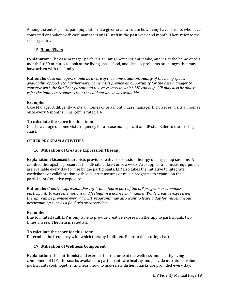Among the entire participant population at a given site, calculate how many have parents who have contacted or spoken with case managers or LIP staff in the past week and month. Then, refer to the scoring chart.

#### **15. Home Visits**

**Explanation:** The case manager performs an initial home visit at intake, and visits the home once a month for 30 minutes to look at the living space, food, and discuss problems or changes that may have arisen with the family.

**Rationale:** *Case managers should be aware of the home situation, quality of the living space, availability of food, etc. Furthermore, home visits provide an opportunity for the case manager to converse with the family or parent and to assess ways in which LIP can help. LIP may also be able to refer the family to resources that they did not know was available.* 

#### **Example:**

Case Manager A diligently visits all homes once a month. Case manager B, however, visits all homes once every 6 months. This item is rated a 4.

#### **To calculate the score for this item:**

Get the average of home visit frequency for all case managers at an LIP site. Refer to the scoring chart.

#### **OTHER PROGRAM ACTIVITIES**

#### **16. Utilization of Creative Expression Therapy**

**Explanation:** Licensed therapists provide creative expression therapy during group sessions. A certified therapist is present at the LIP site at least once a week. Art supplies and music equipment are available every day for use by the participants. LIP also takes the initiative to integrate workshops or collaboration with local art museums or music programs to expand on the participants' creative exposure.

**Rationale:** *Creative expression therapy is an integral part of the LIP program as it enables participants to express emotions and feelings in a non-verbal manner. While creative expression therapy can be provided every day, LIP programs may also want to leave a day for miscellaneous programming such as a field trip or career day.* 

#### **Example:**

Due to limited staff, LIP is only able to provide creative expression therapy to participants two times a week. The item is rated a 3.

#### **To calculate the score for this item:**

Determine the frequency with which therapy is offered. Refer to the scoring chart.

#### **17. Utilization of Wellness Component**

**Explanation:** The nutritionist and exercise instructor lead the wellness and healthy living component of LIP. The snacks available to participants are healthy and provide nutritional value; participants cook together and learn how to make new dishes. Snacks are provided every day.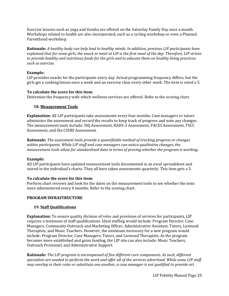Exercise lessons such as yoga and Zumba are offered on the Saturday Family Day once a month. Workshops related to health are also incorporated, such as a cycling workshop or even a Planned Parenthood workshop.

**Rationale:** *A healthy body can help lead to healthy minds. In addition, previous LIP participants have explained that for some girls, the snack or meal at LIP is the first meal of the day. Therefore, LIP strives to provide healthy and nutritious foods for the girls and to educate them on healthy living practices such as exercise.* 

#### **Example:**

LIP provides snacks for the participants every day. Actual programming frequency differs, but the girls get a cooking lesson once a week and an exercise class every other week. The item is rated a 5.

#### **To calculate the score for this item:**

Determine the frequency with which wellness services are offered. Refer to the scoring chart.

#### **18. Measurement Tools**

**Explanation:** All LIP participants take assessments every four months. Case managers or tutors administer the assessment and record the results to keep track of progress and note any changes. The measurement tools include: SIQ Assessment, RADS-2 Assessment, FACES Assessment, TSCC Assessment, and the CSSRS Assessment.

**Rationale:** *The assessment tools provide a quantifiable method of tracking progress or changes within participants. While LIP staff and case managers can notice qualitative changes, the measurement tools allow for standardized data in terms of proving whether the program is working.*

#### **Example:**

All LIP participants have updated measurement tools documented in an excel spreadsheet and stored in the individual's charts. They all have taken assessments quarterly. This item gets a 5.

#### **To calculate the score for this item:**

Perform chart reviews and look for the dates on the measurement tools to see whether the tests were administered every 4 months. Refer to the scoring chart.

#### **PROGRAM INFRASTRUCTURE**

#### **19. Staff Qualifications**

**Explanation:** To ensure quality division of roles and provision of services for participants, LIP requires a minimum of staff qualifications. Ideal staffing would include: Program Director, Case Managers, Community Outreach and Marketing Officer, Administrative Assistant, Tutors, Licensed Therapists, and Music Teachers. However, the minimum necessary for a new program would include: Program Director, Case Managers, Tutors, and Licensed Therapists. As the program becomes more established and gains funding, the LIP site can also include: Music Teachers, Outreach Personnel, and Administrative Support.

**Rationale:** *The LIP program is encompassed of five different core components. As such, different specialists are needed to perform the work and offer all of the services advertised. While some LIP staff may overlap in their roles or substitute one another, a case manager is not qualified to provide art*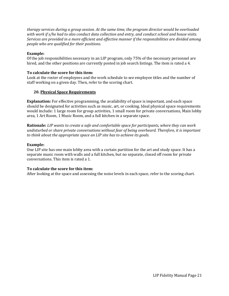*therapy services during a group session. At the same time, the program director would be overloaded with work if s/he had to also conduct data collection and entry, and conduct school and house visits. Services are provided in a more efficient and effective manner if the responsibilities are divided among people who are qualified for their positions.* 

#### **Example:**

Of the job responsibilities necessary in an LIP program, only 75% of the necessary personnel are hired, and the other positions are currently posted in job search listings. The item is rated a 4.

#### **To calculate the score for this item:**

Look at the roster of employees and the work schedule to see employee titles and the number of staff working on a given day. Then, refer to the scoring chart.

#### **20. Physical Space Requirements**

**Explanation:** For effective programming, the availability of space is important, and each space should be designated for activities such as music, art, or cooking. Ideal physical space requirements would include: 1 large room for group activities, 1 small room for private conversations, Main lobby area, 1 Art Room, 1 Music Room, and a full kitchen in a separate space.

**Rationale:** *LIP wants to create a safe and comfortable space for participants, where they can work undisturbed or share private conversations without fear of being overheard. Therefore, it is important to think about the appropriate space an LIP site has to achieve its goals.* 

#### **Example:**

One LIP site has one main lobby area with a curtain partition for the art and study space. It has a separate music room with walls and a full kitchen, but no separate, closed off room for private conversations. This item is rated a 1.

#### **To calculate the score for this item:**

After looking at the space and assessing the noise levels in each space, refer to the scoring chart.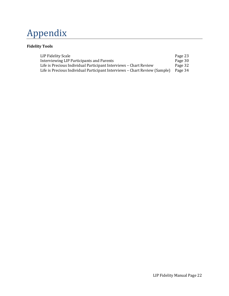# Appendix

### **Fidelity Tools**

| LIP Fidelity Scale                                                         | Page 23 |
|----------------------------------------------------------------------------|---------|
| Interviewing LIP Participants and Parents                                  | Page 30 |
| Life is Precious Individual Participant Interviews - Chart Review          | Page 32 |
| Life is Precious Individual Participant Interviews – Chart Review (Sample) | Page 34 |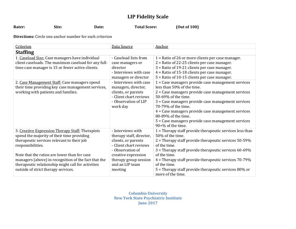## **LIP Fidelity Scale**

Rater: Site: Date: Date: Total Score: (Out of 100)

**Directions:** Circle one anchor number for each criterion

| Criterion                                            | Data Source              | Anchor                                                     |
|------------------------------------------------------|--------------------------|------------------------------------------------------------|
| <b>Staffing</b>                                      |                          |                                                            |
| 1. Caseload Size: Case managers have individual      | - Caseload lists from    | $1$ = Ratio of 26 or more clients per case manager.        |
| client caseloads. The maximum caseload for any full- | case managers or         | $2$ = Ratio of 22-25 clients per case manager.             |
| time case manager is 15 or fewer active clients.     | director                 | 3 = Ratio of 19-21 clients per case manager.               |
|                                                      | - Interviews with case   | $4$ = Ratio of 15-18 clients per case manager.             |
|                                                      | managers or director     | 5 = Ratio of 10-15 clients per case manager.               |
| 2. Case Management Staff: Case managers spend        | - Interviews with case   | 1 = Case managers provide case management services         |
| their time providing key case management services,   | managers, director,      | less than 50% of the time.                                 |
| working with patients and families.                  | clients, or parents      | 2 = Case managers provide case management services         |
|                                                      | - Client chart reviews   | 50-69% of the time.                                        |
|                                                      | - Observation of LIP     | 3 = Case managers provide case management services         |
|                                                      | work day                 | 70-79% of the time.                                        |
|                                                      |                          | 4 = Case managers provide case management services         |
|                                                      |                          | 80-89% of the time.                                        |
|                                                      |                          | 5 = Case managers provide case management services         |
|                                                      |                          | $90+%$ of the time.                                        |
| 3. Creative Expression Therapy Staff: Therapists     | - Interviews with        | $1$ = Therapy staff provide therapeutic services less than |
| spend the majority of their time providing           | therapy staff, director, | 50% of the time.                                           |
| therapeutic services relevant to their job           | clients, or parents      | $2$ = Therapy staff provide therapeutic services 50-59%    |
| responsibilities.                                    | - Client chart reviews   | of the time.                                               |
|                                                      | - Observation of         | $3$ = Therapy staff provide therapeutic services 60-69%    |
| Note that the ratios are lower than for case         | creative expression      | of the time.                                               |
| managers (above) in recognition of the fact that the | therapy group session    | 4 = Therapy staff provide therapeutic services 70-79%      |
| therapeutic relationship might call for activities   | and an LIP team          | of the time.                                               |
| outside of strict therapy services.                  | meeting                  | $5$ = Therapy staff provide therapeutic services 80% or    |
|                                                      |                          | more of the time.                                          |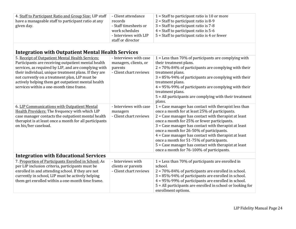| 4. Staff to Participant Ratio and Group Size: LIP staff<br>have a manageable staff to participant ratio at any<br>given day.                                                                                                                                                                                                                                                | - Client attendance<br>records<br>- Staff timesheets or<br>work schedules<br>- Interviews with LIP<br>staff or director | $1 =$ Staff to participant ratio is 10 or more<br>$2 =$ Staff to participant ratio is 8-9<br>$3 =$ Staff to participant ratio is $7-8$<br>$4 =$ Staff to participant ratio is 5-6<br>$5 =$ Staff to participant ratio is 4 or fewer                                                                                                                                                                                                                                                                                               |
|-----------------------------------------------------------------------------------------------------------------------------------------------------------------------------------------------------------------------------------------------------------------------------------------------------------------------------------------------------------------------------|-------------------------------------------------------------------------------------------------------------------------|-----------------------------------------------------------------------------------------------------------------------------------------------------------------------------------------------------------------------------------------------------------------------------------------------------------------------------------------------------------------------------------------------------------------------------------------------------------------------------------------------------------------------------------|
| <b>Integration with Outpatient Mental Health Services</b>                                                                                                                                                                                                                                                                                                                   |                                                                                                                         |                                                                                                                                                                                                                                                                                                                                                                                                                                                                                                                                   |
| 5. Receipt of Outpatient Mental Health Services:<br>Participants are receiving outpatient mental health<br>services, as required by LIP, and are complying with<br>their individual, unique treatment plans. If they are<br>not currently on a treatment plan, LIP must be<br>actively helping them get outpatient mental health<br>services within a one-month time frame. | - Interviews with case<br>managers, clients, or<br>parents<br>- Client chart reviews                                    | $1 =$ Less than 70% of participants are complying with<br>their treatment plans.<br>$2 = 70\% - 84\%$ of participants are complying with their<br>treatment plans.<br>$3 = 85\% - 94\%$ of participants are complying with their<br>treatment plans.<br>$4 = 95\% - 99\%$ of participants are complying with their<br>treatment plans.<br>$5$ = All participants are complying with their treatment<br>plans.                                                                                                                     |
| 6. LIP Communications with Outpatient Mental<br>Health Providers: The frequency with which LIP<br>case manager contacts the outpatient mental health<br>therapist is at least once a month for all participants<br>on his/her caseload.                                                                                                                                     | - Interviews with case<br>managers<br>- Client chart reviews                                                            | $1 =$ Case manager has contact with therapist less than<br>once a month for at least 25% of participants.<br>$2 =$ Case manager has contact with therapist at least<br>once a month for 25% or fewer participants.<br>3 = Case manager has contact with therapist at least<br>once a month for 26-50% of participants.<br>$4 =$ Case manager has contact with therapist at least<br>once a month for 51-75% of participants.<br>5 = Case manager has contact with therapist at least<br>once a month for 76-100% of participants. |
| <b>Integration with Educational Services</b>                                                                                                                                                                                                                                                                                                                                |                                                                                                                         |                                                                                                                                                                                                                                                                                                                                                                                                                                                                                                                                   |
| 7. Proportion of Participants Enrolled in School: As<br>per LIP inclusion criteria, participants must be<br>enrolled in and attending school. If they are not<br>currently in school, LIP must be actively helping<br>them get enrolled within a one-month time frame.                                                                                                      | - Interviews with<br>clients or parents<br>- Client chart reviews                                                       | $1 =$ Less than 70% of participants are enrolled in<br>school.<br>$2 = 70\% - 84\%$ of participants are enrolled in school.<br>$3 = 85\% - 94\%$ of participants are enrolled in school.<br>4 = 95%-99% of participants are enrolled in school.<br>5 = All participants are enrolled in school or looking for<br>enrollment options.                                                                                                                                                                                              |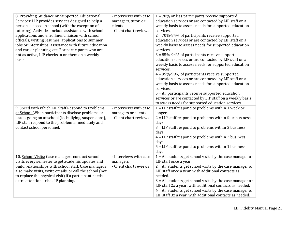| 8. Providing Guidance on Supported Educational<br>Services: LIP provides services designed to help a<br>person succeed in school (with the exception of<br>tutoring). Activities include assistance with school<br>applications and enrollment, liaison with school<br>officials, writing resumes, applications to summer<br>jobs or internships, assistance with future education<br>and career planning, etc. For participants who are<br>not as active, LIP checks in on them on a weekly<br>basis. | - Interviews with case<br>managers, tutor, or<br>clients<br>- Client chart reviews | $1 = 70\%$ or less participants receive supported<br>education services or are contacted by LIP staff on a<br>weekly basis to assess needs for supported education<br>services.<br>$2 = 70\% - 84\%$ of participants receive supported<br>education services or are contacted by LIP staff on a<br>weekly basis to assess needs for supported education<br>services.<br>3 = 85%-94% of participants receive supported<br>education services or are contacted by LIP staff on a<br>weekly basis to assess needs for supported education<br>services.<br>$4 = 95\% - 99\%$ of participants receive supported<br>education services or are contacted by LIP staff on a<br>weekly basis to assess needs for supported education<br>services.<br>$5$ = All participants receive supported education<br>services or are contacted by LIP staff on a weekly basis<br>to assess needs for supported education services. |
|--------------------------------------------------------------------------------------------------------------------------------------------------------------------------------------------------------------------------------------------------------------------------------------------------------------------------------------------------------------------------------------------------------------------------------------------------------------------------------------------------------|------------------------------------------------------------------------------------|-----------------------------------------------------------------------------------------------------------------------------------------------------------------------------------------------------------------------------------------------------------------------------------------------------------------------------------------------------------------------------------------------------------------------------------------------------------------------------------------------------------------------------------------------------------------------------------------------------------------------------------------------------------------------------------------------------------------------------------------------------------------------------------------------------------------------------------------------------------------------------------------------------------------|
| 9. Speed with which LIP Staff Respond to Problems<br>at School: When participants disclose problems or<br>issues going on at school (ie. bullying, suspensions),<br>LIP staff respond to the problem immediately and<br>contact school personnel.                                                                                                                                                                                                                                                      | - Interviews with case<br>managers or clients<br>- Client chart reviews            | $1 = LIP$ staff respond to problems within 1 week or<br>longer.<br>$2 = LIP$ staff respond to problems within four business<br>days.<br>3 = LIP staff respond to problems within 3 business<br>days.<br>$4 = LIP$ staff respond to problems within 2 business<br>days.<br>$5 = LIP$ staff respond to problems within 1 business<br>day.                                                                                                                                                                                                                                                                                                                                                                                                                                                                                                                                                                         |
| 10. School Visits: Case managers conduct school<br>visits every semester to get academic updates and<br>build relationships with school staff. Case managers<br>also make visits, write emails, or call the school (not<br>to replace the physical visit) if a participant needs<br>extra attention or has IP planning.                                                                                                                                                                                | - Interviews with case<br>managers<br>- Client chart reviews                       | $1 =$ All students get school visits by the case manager or<br>LIP staff once a year.<br>$2$ = All students get school visits by the case manager or<br>LIP staff once a year, with additional contacts as<br>needed.<br>3 = All students get school visits by the case manager or<br>LIP staff 2x a year, with additional contacts as needed.<br>$4$ = All students get school visits by the case manager or<br>LIP staff 3x a year, with additional contacts as needed.                                                                                                                                                                                                                                                                                                                                                                                                                                       |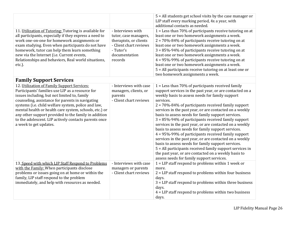|                                                                                                                                                                                                                                                                                                                                                                                                                                                                 |                                                                                                                                         | $5$ = All students get school visits by the case manager or<br>LIP staff every marking period, 4x a year, with<br>additional contacts as needed.                                                                                                                                                                                                                                                                                                                                                                                                                                                                                                                                                                                                                                                                                                                                         |
|-----------------------------------------------------------------------------------------------------------------------------------------------------------------------------------------------------------------------------------------------------------------------------------------------------------------------------------------------------------------------------------------------------------------------------------------------------------------|-----------------------------------------------------------------------------------------------------------------------------------------|------------------------------------------------------------------------------------------------------------------------------------------------------------------------------------------------------------------------------------------------------------------------------------------------------------------------------------------------------------------------------------------------------------------------------------------------------------------------------------------------------------------------------------------------------------------------------------------------------------------------------------------------------------------------------------------------------------------------------------------------------------------------------------------------------------------------------------------------------------------------------------------|
| 11. Utilization of Tutoring: Tutoring is available for<br>all participants, especially if they express a need to<br>work one-on-one for homework assignments or<br>exam studying. Even when participants do not have<br>homework, tutor can help them learn something<br>new via the Internet (i.e. Current events,<br>Relationships and behaviors, Real world situations,<br>etc.).                                                                            | - Interviews with<br>tutor, case managers,<br>therapists, or clients<br>- Client chart reviews<br>- Tutor's<br>documentation<br>records | $1 =$ Less than 70% of participants receive tutoring on at<br>least one or two homework assignments a week.<br>$2 = 70\% - 84\%$ of participants receive tutoring on at<br>least one or two homework assignments a week.<br>$3 = 85\% - 94\%$ of participants receive tutoring on at<br>least one or two homework assignments a week.<br>$4 = 95\% - 99\%$ of participants receive tutoring on at<br>least one or two homework assignments a week.<br>5 = All participants receive tutoring on at least one or<br>two homework assignments a week.                                                                                                                                                                                                                                                                                                                                       |
| <b>Family Support Services</b>                                                                                                                                                                                                                                                                                                                                                                                                                                  |                                                                                                                                         |                                                                                                                                                                                                                                                                                                                                                                                                                                                                                                                                                                                                                                                                                                                                                                                                                                                                                          |
| 12. Utilization of Family Support Services:<br>Participants' families use LIP as a resource for<br>issues including, but not limited to, family<br>counseling, assistance for parents in navigating<br>systems (i.e. child welfare system, police and law,<br>mental health or health care system, schools, etc.) or<br>any other support provided to the family in addition<br>to the adolescent. LIP actively contacts parents once<br>a week to get updates. | - Interviews with case<br>managers, clients, or<br>parents<br>- Client chart reviews                                                    | 1 = Less than 70% of participants received family<br>support services in the past year, or are contacted on a<br>weekly basis to assess needs for family support<br>services.<br>$2 = 70\% - 84\%$ of participants received family support<br>services in the past year, or are contacted on a weekly<br>basis to assess needs for family support services.<br>$3 = 85\% - 94\%$ of participants received family support<br>services in the past year, or are contacted on a weekly<br>basis to assess needs for family support services.<br>$4 = 95\% - 99\%$ of participants received family support<br>services in the past year, or are contacted on a weekly<br>basis to assess needs for family support services.<br>5 = All participants received family support services in<br>the past year, or are contacted on a weekly basis to<br>assess needs for family support services. |
| 13. Speed with which LIP Staff Respond to Problems<br>with the Family: When participants disclose<br>problems or issues going on at home or within the<br>family, LIP staff respond to the problem<br>immediately, and help with resources as needed.                                                                                                                                                                                                           | - Interviews with case<br>managers or parents<br>- Client chart reviews                                                                 | $1 = LIP$ staff respond to problems within 1 week or<br>more.<br>$2 = LIP$ staff respond to problems within four business<br>days.<br>3 = LIP staff respond to problems within three business<br>days.<br>$4 = LIP$ staff respond to problems within two business<br>days.                                                                                                                                                                                                                                                                                                                                                                                                                                                                                                                                                                                                               |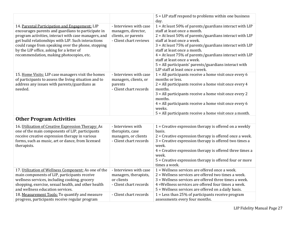|                                                                                                                                                                                                                                                                                                                                                                    |                                                                                                | 5 = LIP staff respond to problems within one business<br>day.                                                                                                                                                                                                                                                                                                                                                                                                          |
|--------------------------------------------------------------------------------------------------------------------------------------------------------------------------------------------------------------------------------------------------------------------------------------------------------------------------------------------------------------------|------------------------------------------------------------------------------------------------|------------------------------------------------------------------------------------------------------------------------------------------------------------------------------------------------------------------------------------------------------------------------------------------------------------------------------------------------------------------------------------------------------------------------------------------------------------------------|
| 14. Parental Participation and Engagement: LIP<br>encourages parents and guardians to participate in<br>program activities, interact with case managers, and<br>get build relationships with LIP. Such interactions<br>could range from speaking over the phone, stopping<br>by the LIP office, asking for a letter of<br>recommendation, making photocopies, etc. | - Interviews with case<br>managers, director,<br>clients, or parents<br>- Client chart reviews | 1 = At least 50% of parents/guardians interact with LIP<br>staff at least once a month.<br>$2 = At$ least 50% of parents/guardians interact with LIP<br>staff at least once a week.<br>3 = At least 75% of parents/guardians interact with LIP<br>staff at least once a month.<br>4 = At least 75% of parents/guardians interact with LIP<br>staff at least once a week.<br>$5$ = All participants' parents/guardians interact with<br>LIP staff at least once a week. |
| 15. Home Visits: LIP case managers visit the homes<br>of participants to assess the living situation and to<br>address any issues with parents/guardians as<br>needed.                                                                                                                                                                                             | - Interviews with case<br>managers, clients, or<br>parents<br>- Client chart records           | 1 = All participants receive a home visit once every 6<br>months or less.<br>$2$ = All participants receive a home visit once every 4<br>months.<br>3 = All participants receive a home visit once every 2<br>months.<br>4 = All participants receive a home visit once every 6<br>weeks.<br>5 = All participants receive a home visit once a month.                                                                                                                   |
| <b>Other Program Activities</b>                                                                                                                                                                                                                                                                                                                                    |                                                                                                |                                                                                                                                                                                                                                                                                                                                                                                                                                                                        |
| 16. Utilization of Creative Expression Therapy: As<br>one of the main components of LIP, participants<br>receive creative expression therapy in various<br>forms, such as music, art or dance, from licensed<br>therapists.                                                                                                                                        | - Interviews with<br>therapists, case<br>managers, or clients<br>- Client chart records        | $1 =$ Creative expression therapy is offered on a weekly<br>basis.<br>$2$ = Creative expression therapy is offered once a week.<br>3 = Creative expression therapy is offered two times a<br>week.<br>$4$ = Creative expression therapy is offered three times a<br>week.<br>$5$ = Creative expression therapy is offered four or more<br>times a week.                                                                                                                |
| 17. Utilization of Wellness Component: As one of the<br>main components of LIP, participants receive<br>wellness services, including cooking, grocery<br>shopping, exercise, sexual health, and other health<br>and wellness education services.                                                                                                                   | - Interviews with case<br>managers, therapists,<br>or clients<br>- Client chart records        | 1 = Wellness services are offered once a week.<br>2 = Wellness services are offered two times a week.<br>3 = Wellness services are offered three times a week.<br>4 = Wellness services are offered four times a week.<br>5 = Wellness services are offered on a daily basis.                                                                                                                                                                                          |
| 18. Measurement Tools: To quantify and measure<br>progress, participants receive regular program                                                                                                                                                                                                                                                                   | - Client chart records                                                                         | $1 =$ Less than 25% of participants receive program<br>assessments every four months.                                                                                                                                                                                                                                                                                                                                                                                  |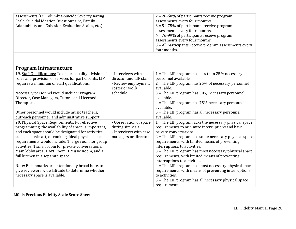| $2 = 26 - 50\%$ of participants receive program<br>assessments every four months.<br>$3 = 51-75\%$ of participants receive program<br>assessments every four months.<br>$4 = 76 - 99\%$ of participants receive program<br>assessments every four months.<br>$5$ = All participants receive program assessments every |
|-----------------------------------------------------------------------------------------------------------------------------------------------------------------------------------------------------------------------------------------------------------------------------------------------------------------------|
| four months.                                                                                                                                                                                                                                                                                                          |
|                                                                                                                                                                                                                                                                                                                       |

# **Program Infrastructure**

| 19. Staff Qualifications: To ensure quality division of<br>roles and provision of services for participants, LIP | - Interviews with<br>director and LIP staff | 1 = The LIP program has less than $25%$ necessary<br>personnel available. |
|------------------------------------------------------------------------------------------------------------------|---------------------------------------------|---------------------------------------------------------------------------|
|                                                                                                                  |                                             |                                                                           |
| requires a minimum of staff qualifications.                                                                      | - Review employment                         | $2$ = The LIP program has 25% of necessary personnel                      |
|                                                                                                                  | roster or work                              | available.                                                                |
| Necessary personnel would include: Program                                                                       | schedule                                    | $3$ = The LIP program has 50% necessary personnel                         |
| Director, Case Managers, Tutors, and Licensed                                                                    |                                             | available.                                                                |
| Therapists.                                                                                                      |                                             | $4$ = The LIP program has 75% necessary personnel<br>available.           |
|                                                                                                                  |                                             |                                                                           |
| Other personnel would include music teachers,                                                                    |                                             | $5$ = The LIP program has all necessary personnel                         |
| outreach personnel, and administrative support.                                                                  |                                             | available.                                                                |
| 20. Physical Space Requirements: For effective                                                                   | - Observation of space                      | $1 =$ The LIP program lacks the necessary physical space                  |
| programming, the availability of space is important,                                                             | during site visit                           | requirements to minimize interruptions and have                           |
| and each space should be designated for activities                                                               | - Interviews with case                      | private conversations.                                                    |
| such as music, art, or cooking. Ideal physical space                                                             | managers or director                        | $2$ = The LIP program has some necessary physical space                   |
| requirements would include: 1 large room for group                                                               |                                             | requirements, with limited means of preventing                            |
| activities, 1 small room for private conversations,                                                              |                                             | interruptions to activities.                                              |
| Main lobby area, 1 Art Room, 1 Music Room, and a                                                                 |                                             | 3 = The LIP program has most necessary physical space                     |
| full kitchen in a separate space.                                                                                |                                             | requirements, with limited means of preventing                            |
|                                                                                                                  |                                             | interruptions to activities.                                              |
| Note: Benchmarks are intentionally broad here, to                                                                |                                             | $4$ = The LIP program has most necessary physical space                   |
| give reviewers wide latitude to determine whether                                                                |                                             | requirements, with means of preventing interruptions                      |
| necessary space is available.                                                                                    |                                             | to activities.                                                            |
|                                                                                                                  |                                             | 5 = The LIP program has all necessary physical space                      |
|                                                                                                                  |                                             | requirements.                                                             |

### **Life is Precious Fidelity Scale Score Sheet**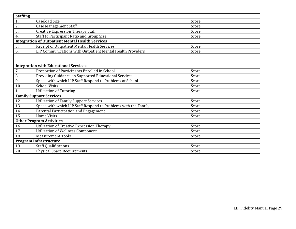| <b>Staffing</b>                 |                                                                |        |  |
|---------------------------------|----------------------------------------------------------------|--------|--|
| 1.                              | <b>Caseload Size</b>                                           | Score: |  |
| 2.                              | <b>Case Management Staff</b>                                   | Score: |  |
| 3.                              | <b>Creative Expression Therapy Staff</b>                       | Score: |  |
| 4.                              | Staff to Participant Ratio and Group Size                      | Score: |  |
|                                 | <b>Integration of Outpatient Mental Health Services</b>        |        |  |
| 5.                              | Receipt of Outpatient Mental Health Services                   | Score: |  |
| 6.                              | LIP Communications with Outpatient Mental Health Providers     | Score: |  |
|                                 |                                                                |        |  |
|                                 | <b>Integration with Educational Services</b>                   |        |  |
| 7.                              | Proportion of Participants Enrolled in School                  | Score: |  |
| 8.                              | Providing Guidance on Supported Educational Services           | Score: |  |
| 9.                              | Speed with which LIP Staff Respond to Problems at School       | Score: |  |
| 10.                             | <b>School Visits</b>                                           | Score: |  |
| 11.                             | <b>Utilization of Tutoring</b>                                 | Score: |  |
|                                 | <b>Family Support Services</b>                                 |        |  |
| 12.                             | <b>Utilization of Family Support Services</b>                  | Score: |  |
| 13.                             | Speed with which LIP Staff Respond to Problems with the Family | Score: |  |
| 14.                             | Parental Participation and Engagement                          | Score: |  |
| 15.                             | <b>Home Visits</b>                                             | Score: |  |
| <b>Other Program Activities</b> |                                                                |        |  |
| 16.                             | Utilization of Creative Expression Therapy                     | Score: |  |
| 17.                             | <b>Utilization of Wellness Component</b>                       | Score: |  |
| 18.                             | <b>Measurement Tools</b>                                       | Score: |  |
| <b>Program Infrastructure</b>   |                                                                |        |  |
| 19.                             | <b>Staff Qualifications</b>                                    | Score: |  |
| 20.                             | <b>Physical Space Requirements</b>                             | Score: |  |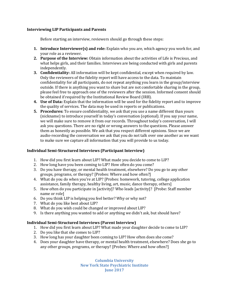#### **Interviewing LIP Participants and Parents**

Before starting an interview, reviewers should go through these steps:

- **1. Introduce Interviewer(s) and role:** Explain who you are, which agency you work for, and your role as a reviewer.
- **2. Purpose of the Interview:** Obtain information about the activities of Life is Precious, and what helps girls, and their families. Interviews are being conducted with girls and parents independently.
- **3. Confidentiality:** All information will be kept confidential, except when required by law. Only the reviewers of the fidelity report will have access to the data. To maintain confidentiality for all participants, do not repeat anything you learn in the group/interview outside. If there is anything you want to share but are not comfortable sharing in the group, please feel free to approach one of the reviewers after the session. Informed consent should be obtained if required by the Institutional Review Board (IRB).
- **4. Use of Data:** Explain that the information will be used for the fidelity report and to improve the quality of services. The data may be used in reports or publications.
- **5. Procedures:** To ensure confidentiality, we ask that you use a name different than yours (nickname) to introduce yourself in today's conversation (optional). If you say your name, we will make sure to remove it from our records. Throughout today's conversation, I will ask you questions. There are no right or wrong answers to the questions. Please answer them as honestly as possible. We ask that you respect different opinions. Since we are audio-recording the conversation we ask that you do not talk over one another as we want to make sure we capture all information that you will provide to us today.

#### **Individual Semi-Structured Interviews (Participant Interview)**

- 1. How did you first learn about LIP? What made you decide to come to LIP?
- 2. How long have you been coming to LIP? How often do you come?
- 3. Do you have therapy, or mental health treatment, elsewhere? Do you go to any other groups, programs, or therapy? [Probes: Where and how often?]
- 4. What do you do when you're at LIP? [Probes: homework, tutoring, college application assistance, family therapy, healthy living, art, music, dance therapy, others]
- 5. How often do you participate in [activity]? Who leads [activity]? [Probe: Staff member name or role]
- 6. Do you think LIP is helping you feel better? Why or why not?
- 7. What do you like best about LIP?
- 8. What do you wish could be changed or improved about LIP?
- 9. Is there anything you wanted to add or anything we didn't ask, but should have?

#### **Individual Semi-Structured Interviews (Parent Interview)**

- 1. How did you first learn about LIP? What made your daughter decide to come to LIP?
- 2. Do you like that she comes to LIP?
- 3. How long has your daughter been coming to LIP? How often does she come?
- 4. Does your daughter have therapy, or mental health treatment, elsewhere? Does she go to any other groups, programs, or therapy? [Probes: Where and how often?]

**Columbia University New York State Psychiatric Institute June 2017**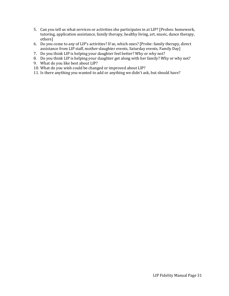- 5. Can you tell us what services or activities she participates in at LIP? [Probes: homework, tutoring, application assistance, family therapy, healthy living, art, music, dance therapy, others]
- 6. Do you come to any of LIP's activities? If so, which ones? [Probe: family therapy, direct assistance from LIP staff, mother-daughter events, Saturday events, Family Day]
- 7. Do you think LIP is helping your daughter feel better? Why or why not?
- 8. Do you think LIP is helping your daughter get along with her family? Why or why not?
- 9. What do you like best about LIP?
- 10. What do you wish could be changed or improved about LIP?
- 11. Is there anything you wanted to add or anything we didn't ask, but should have?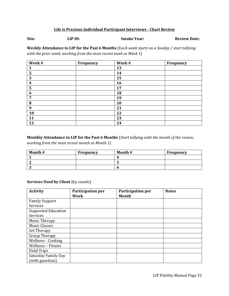#### **Life is Precious Individual Participant Interviews - Chart Review**

**Site: LIP ID: Intake Year: Review Date:**

**Weekly Attendance to LIP for the Past 6 Months** (E*ach week starts on a Sunday / start tallying with the prior week, working from the most recent week as Week 1*)

| Week#            | Frequency | Week# | <b>Frequency</b> |
|------------------|-----------|-------|------------------|
|                  |           | 13    |                  |
| 2.               |           | 14    |                  |
| 3                |           | 15    |                  |
| $\boldsymbol{4}$ |           | 16    |                  |
| 5                |           | 17    |                  |
| 6                |           | 18    |                  |
| 7                |           | 19    |                  |
| 8                |           | 20    |                  |
| 9                |           | 21    |                  |
| 10               |           | 22    |                  |
| 11               |           | 23    |                  |
| 12               |           | 24    |                  |

#### **Monthly Attendance to LIP for the Past 6 Months** (*Start tallying with the month of the review,*

*working from the most recent month as Month 1*)

| Month # | Frequency | Month # | Frequency |
|---------|-----------|---------|-----------|
|         |           |         |           |
|         |           |         |           |
|         |           |         |           |

#### **Services Used by Client (by counts)**

| <b>Activity</b>            | <b>Participation per</b><br><b>Week</b> | <b>Participation per</b><br><b>Month</b> | <b>Notes</b> |
|----------------------------|-----------------------------------------|------------------------------------------|--------------|
| <b>Family Support</b>      |                                         |                                          |              |
| Services                   |                                         |                                          |              |
| <b>Supported Education</b> |                                         |                                          |              |
| Services                   |                                         |                                          |              |
| Music Therapy              |                                         |                                          |              |
| <b>Music Classes</b>       |                                         |                                          |              |
| Art Therapy                |                                         |                                          |              |
| <b>Group Therapy</b>       |                                         |                                          |              |
| Wellness - Cooking         |                                         |                                          |              |
| Wellness - Fitness         |                                         |                                          |              |
| <b>Field Trips</b>         |                                         |                                          |              |
| <b>Saturday Family Day</b> |                                         |                                          |              |
| (with guardian)            |                                         |                                          |              |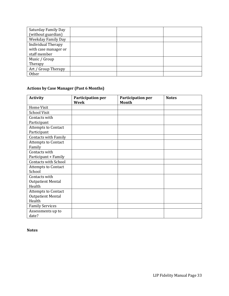| Saturday Family Day       |  |  |
|---------------------------|--|--|
| (without guardian)        |  |  |
| <b>Weekday Family Day</b> |  |  |
| <b>Individual Therapy</b> |  |  |
| with case manager or      |  |  |
| staff member              |  |  |
| Music / Group             |  |  |
| Therapy                   |  |  |
| Art / Group Therapy       |  |  |
| Other                     |  |  |

#### **Actions by Case Manager (Past 6 Months)**

| <b>Activity</b>             | Participation per<br>Week | Participation per<br><b>Month</b> | <b>Notes</b> |
|-----------------------------|---------------------------|-----------------------------------|--------------|
| <b>Home Visit</b>           |                           |                                   |              |
| <b>School Visit</b>         |                           |                                   |              |
| Contacts with               |                           |                                   |              |
| Participant                 |                           |                                   |              |
| <b>Attempts to Contact</b>  |                           |                                   |              |
| Participant                 |                           |                                   |              |
| Contacts with Family        |                           |                                   |              |
| <b>Attempts to Contact</b>  |                           |                                   |              |
| Family                      |                           |                                   |              |
| Contacts with               |                           |                                   |              |
| Participant + Family        |                           |                                   |              |
| <b>Contacts with School</b> |                           |                                   |              |
| <b>Attempts to Contact</b>  |                           |                                   |              |
| School                      |                           |                                   |              |
| Contacts with               |                           |                                   |              |
| <b>Outpatient Mental</b>    |                           |                                   |              |
| Health                      |                           |                                   |              |
| <b>Attempts to Contact</b>  |                           |                                   |              |
| <b>Outpatient Mental</b>    |                           |                                   |              |
| Health                      |                           |                                   |              |
| <b>Family Services</b>      |                           |                                   |              |
| Assessments up to           |                           |                                   |              |
| date?                       |                           |                                   |              |

**Notes**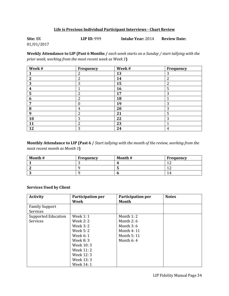#### **Life is Precious Individual Participant Interviews - Chart Review**

| Site: BX   | LIP ID: $999$ | <b>Intake Year: 2014</b> | <b>Review Date:</b> |
|------------|---------------|--------------------------|---------------------|
| 01/01/2017 |               |                          |                     |

**Weekly Attendance to LIP (Past 6 Months /** *each week starts on a Sunday / start tallying with the prior week, working from the most recent week as Week 1***)**

| Week#            | <b>Frequency</b> | Week# | <b>Frequency</b> |
|------------------|------------------|-------|------------------|
|                  | $\overline{2}$   | 13    | 3                |
| $\overline{2}$   | $\overline{c}$   | 14    | $\overline{2}$   |
| 3                | 3                | 15    | $\overline{2}$   |
| 4                |                  | 16    | 5                |
| 5                | $\overline{2}$   | 17    | 3                |
| 6                | $\overline{2}$   | 18    |                  |
| ∍                | 0                | 19    | 3                |
| 8                | 4                | 20    | 3                |
| $\boldsymbol{q}$ | $\overline{2}$   | 21    | 5                |
| 10               | 3                | 22    | 3                |
| 11               | $\overline{2}$   | 23    | ◀                |
| 12               | 3                | 24    | 4                |

**Monthly Attendance to LIP (Past 6 /** *Start tallying with the month of the review, working from the most recent month as Month 1***)**

| Month # | Frequency | Month #    | Frequency |
|---------|-----------|------------|-----------|
|         |           | $\epsilon$ | и         |
|         |           |            |           |
|         |           |            | 14        |

#### **Services Used by Client**

| <b>Activity</b>            | Participation per | Participation per | <b>Notes</b> |
|----------------------------|-------------------|-------------------|--------------|
|                            | Week              | Month             |              |
| <b>Family Support</b>      |                   |                   |              |
| Services                   |                   |                   |              |
| <b>Supported Education</b> | <b>Week 1: 1</b>  | Month $1:2$       |              |
| Services                   | Week 2: 2         | Month $2:6$       |              |
|                            | Week 3: 2         | Month $3:6$       |              |
|                            | Week 5: 2         | Month 4: 11       |              |
|                            | Week 6: 1         | Month 5: 11       |              |
|                            | Week 8: 3         | Month $6:4$       |              |
|                            | Week 10: 3        |                   |              |
|                            | Week 11: 2        |                   |              |
|                            | Week 12: 3        |                   |              |
|                            | Week 13: 3        |                   |              |
|                            | Week 14: 1        |                   |              |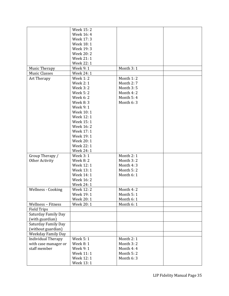|                           | Week 15: 2       |            |  |
|---------------------------|------------------|------------|--|
|                           | Week 16: 4       |            |  |
|                           | Week 17: 3       |            |  |
|                           | Week 18: 1       |            |  |
|                           | Week 19: 3       |            |  |
|                           | <b>Week 20:2</b> |            |  |
|                           | Week 21: 1       |            |  |
|                           | Week 22: 1       |            |  |
| <b>Music Therapy</b>      | Week 9: 1        | Month 3:1  |  |
| <b>Music Classes</b>      | Week 24: 1       |            |  |
| Art Therapy               | <b>Week 1:2</b>  | Month 1:2  |  |
|                           | <b>Week 2: 1</b> | Month 2:7  |  |
|                           | <b>Week 3:2</b>  | Month 3:5  |  |
|                           | <b>Week 5:2</b>  | Month 4:2  |  |
|                           | Week 6: 2        | Month 5:4  |  |
|                           | Week 8: 3        | Month 6:3  |  |
|                           | Week 9: 1        |            |  |
|                           | Week 10:1        |            |  |
|                           | Week 12:1        |            |  |
|                           | Week 15:1        |            |  |
|                           | Week 16: 2       |            |  |
|                           | Week 17: 1       |            |  |
|                           | Week 19: 1       |            |  |
|                           | Week 20: 1       |            |  |
|                           | Week 22: 1       |            |  |
|                           | Week 24: 1       |            |  |
| Group Therapy /           | Week 3: 1        | Month 2: 1 |  |
| Other Activity            | <b>Week 8:2</b>  | Month 3:2  |  |
|                           | Week 12: 1       | Month 4:3  |  |
|                           | Week 13:1        | Month 5:2  |  |
|                           | Week 14: 1       | Month 6: 1 |  |
|                           | Week 16: 2       |            |  |
|                           | Week 24: 1       |            |  |
| Wellness - Cooking        | Week 12: 2       | Month 4:2  |  |
|                           | Week 19:1        | Month 5:1  |  |
|                           | Week 20: 1       | Month 6:1  |  |
| <b>Wellness - Fitness</b> | Week 20: 1       | Month 6:1  |  |
| <b>Field Trips</b>        |                  |            |  |
| Saturday Family Day       |                  |            |  |
| (with guardian)           |                  |            |  |
| Saturday Family Day       |                  |            |  |
| (without guardian)        |                  |            |  |
| <b>Weekday Family Day</b> |                  |            |  |
| <b>Individual Therapy</b> | Week 5:1         | Month 2: 1 |  |
| with case manager or      | Week 8: 1        | Month 3:2  |  |
| staff member              | Week 9: 1        | Month 4:4  |  |
|                           | Week 11:1        | Month 5:2  |  |
|                           | Week 12: 1       | Month 6:3  |  |
|                           | Week 13:1        |            |  |
|                           |                  |            |  |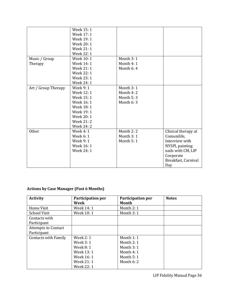|                     | Week 15:1         |            |                     |
|---------------------|-------------------|------------|---------------------|
|                     | Week 17: 1        |            |                     |
|                     | Week 19: 1        |            |                     |
|                     | Week 20: 1        |            |                     |
|                     | Week 21: 1        |            |                     |
|                     | Week 22: 1        |            |                     |
| Music / Group       | Week 10: 1        | Month 3:1  |                     |
| Therapy             | Week 14: 1        | Month 4: 1 |                     |
|                     | Week 21: 1        | Month 6:4  |                     |
|                     | Week 22: 1        |            |                     |
|                     | Week 23: 1        |            |                     |
|                     | <b>Week 24: 1</b> |            |                     |
| Art / Group Therapy | Week 9: 1         | Month 3:1  |                     |
|                     | Week 12: 1        | Month 4:2  |                     |
|                     | Week 15: 1        | Month 5:3  |                     |
|                     | Week 16: 1        | Month 6:3  |                     |
|                     | Week 18: 1        |            |                     |
|                     | Week 19: 1        |            |                     |
|                     | Week 20: 1        |            |                     |
|                     | Week 21:2         |            |                     |
|                     | <b>Week 24: 2</b> |            |                     |
| <b>Other</b>        | Week 4: 1         | Month 2:2  | Clinical therapy at |
|                     | Week 6: 1         | Month 3:1  | Comunilife,         |
|                     | Week 9: 1         | Month 5:1  | Interview with      |
|                     | Week 16: 1        |            | NYSPI, painting     |
|                     | Week 24: 1        |            | nails with CM, LIP  |
|                     |                   |            | Corporate           |
|                     |                   |            | Breakfast, Carnival |
|                     |                   |            | Day                 |

### **Actions by Case Manager (Past 6 Months)**

| <b>Activity</b>                           | Participation per<br>Week                                                                    | <b>Participation per</b><br>Month                                                     | <b>Notes</b> |
|-------------------------------------------|----------------------------------------------------------------------------------------------|---------------------------------------------------------------------------------------|--------------|
| Home Visit                                | Week 14: 1                                                                                   | Month 2: 1                                                                            |              |
| <b>School Visit</b>                       | Week 10:1                                                                                    | Month 3:1                                                                             |              |
| Contacts with<br>Participant              |                                                                                              |                                                                                       |              |
| <b>Attempts to Contact</b><br>Participant |                                                                                              |                                                                                       |              |
| <b>Contacts with Family</b>               | Week $2:1$<br>Week 3: 1<br>Week 8: 1<br>Week 13: 1<br>Week 16: 1<br>Week 21: 1<br>Week 22: 1 | Month $1:1$<br>Month 2: 1<br>Month $3:1$<br>Month $4:1$<br>Month $5:1$<br>Month $6:2$ |              |